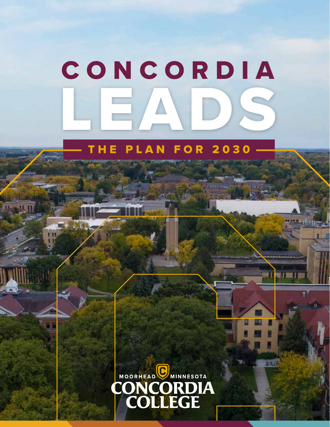# LEADS CONCORDIA

## E PLAN FOR 2030

 $\overline{\mathbf{u}}$ 



241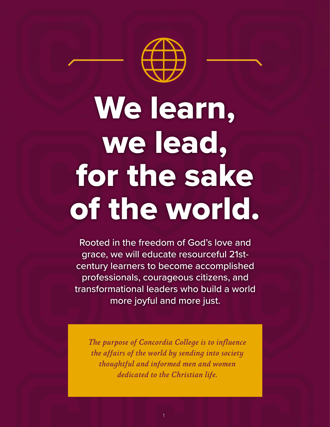

# We learn, we lead, for the sake of the world.

Rooted in the freedom of God's love and grace, we will educate resourceful 21stcentury learners to become accomplished professionals, courageous citizens, and transformational leaders who build a world more joyful and more just.

*The purpose of Concordia College is to influence the affairs of the world by sending into society thoughtful and informed men and women dedicated to the Christian life.*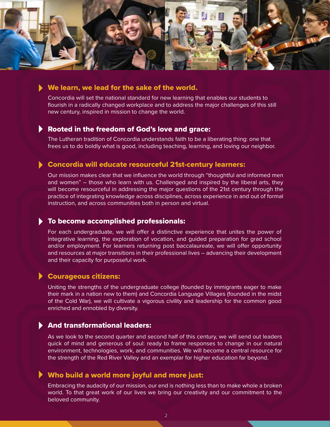

## We learn, we lead for the sake of the world.

Concordia will set the national standard for new learning that enables our students to flourish in a radically changed workplace and to address the major challenges of this still new century, inspired in mission to change the world.

## Rooted in the freedom of God's love and grace:

The Lutheran tradition of Concordia understands faith to be a liberating thing: one that frees us to do boldly what is good, including teaching, learning, and loving our neighbor.

## Concordia will educate resourceful 21st-century learners:

Our mission makes clear that we influence the world through "thoughtful and informed men and women" – those who learn with us. Challenged and inspired by the liberal arts, they will become resourceful in addressing the major questions of the 21st century through the practice of integrating knowledge across disciplines, across experience in and out of formal instruction, and across communities both in person and virtual.

## To become accomplished professionals:

For each undergraduate, we will offer a distinctive experience that unites the power of integrative learning, the exploration of vocation, and guided preparation for grad school and/or employment. For learners returning post baccalaureate, we will offer opportunity and resources at major transitions in their professional lives – advancing their development and their capacity for purposeful work.

## Courageous citizens:

Uniting the strengths of the undergraduate college (founded by immigrants eager to make their mark in a nation new to them) and Concordia Language Villages (founded in the midst of the Cold War), we will cultivate a vigorous civility and leadership for the common good enriched and ennobled by diversity.

## And transformational leaders:

As we look to the second quarter and second half of this century, we will send out leaders quick of mind and generous of soul: ready to frame responses to change in our natural environment, technologies, work, and communities. We will become a central resource for the strength of the Red River Valley and an exemplar for higher education far beyond.

## Who build a world more joyful and more just:

Embracing the audacity of our mission, our end is nothing less than to make whole a broken world. To that great work of our lives we bring our creativity and our commitment to the beloved community.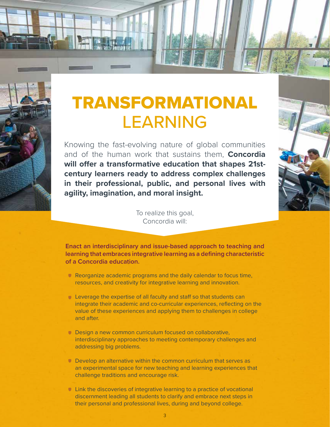

## TRANSFORMATIONAL LEARNING

Knowing the fast-evolving nature of global communities and of the human work that sustains them, **Concordia will offer a transformative education that shapes 21stcentury learners ready to address complex challenges in their professional, public, and personal lives with agility, imagination, and moral insight.**



To realize this goal, Concordia will:

**Enact an interdisciplinary and issue-based approach to teaching and learning that embraces integrative learning as a defining characteristic of a Concordia education.**

- Reorganize academic programs and the daily calendar to focus time, resources, and creativity for integrative learning and innovation.
- **Leverage the expertise of all faculty and staff so that students can** integrate their academic and co-curricular experiences, reflecting on the value of these experiences and applying them to challenges in college and after.
- Design a new common curriculum focused on collaborative, interdisciplinary approaches to meeting contemporary challenges and addressing big problems.
- Develop an alternative within the common curriculum that serves as an experimental space for new teaching and learning experiences that challenge traditions and encourage risk.
- Link the discoveries of integrative learning to a practice of vocational discernment leading all students to clarify and embrace next steps in their personal and professional lives, during and beyond college.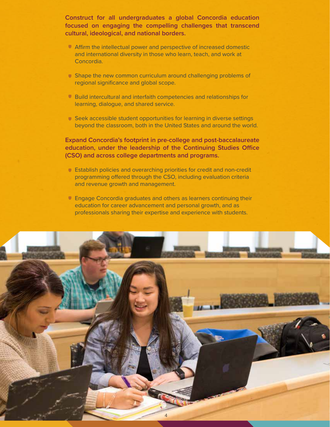**Construct for all undergraduates a global Concordia education focused on engaging the compelling challenges that transcend cultural, ideological, and national borders.** 

- Affirm the intellectual power and perspective of increased domestic and international diversity in those who learn, teach, and work at Concordia.
- Shape the new common curriculum around challenging problems of regional significance and global scope.
- Build intercultural and interfaith competencies and relationships for learning, dialogue, and shared service.
- Seek accessible student opportunities for learning in diverse settings beyond the classroom, both in the United States and around the world.

**Expand Concordia's footprint in pre-college and post-baccalaureate education, under the leadership of the Continuing Studies Office (CSO) and across college departments and programs.**

- Establish policies and overarching priorities for credit and non-credit programming offered through the CSO, including evaluation criteria and revenue growth and management.
- **Engage Concordia graduates and others as learners continuing their** education for career advancement and personal growth, and as professionals sharing their expertise and experience with students.

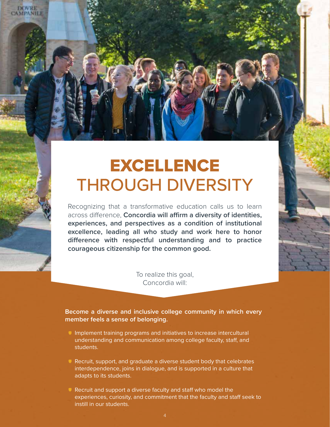## EXCELLENCE THROUGH DIVERSITY

**DOVRE CAMPANILE** 

> Recognizing that a transformative education calls us to learn across difference, **Concordia will affirm a diversity of identities, experiences, and perspectives as a condition of institutional excellence, leading all who study and work here to honor difference with respectful understanding and to practice courageous citizenship for the common good.**

> > To realize this goal, Concordia will:

**Become a diverse and inclusive college community in which every member feels a sense of belonging.**

- Implement training programs and initiatives to increase intercultural understanding and communication among college faculty, staff, and students.
- Recruit, support, and graduate a diverse student body that celebrates interdependence, joins in dialogue, and is supported in a culture that adapts to its students.
- Recruit and support a diverse faculty and staff who model the experiences, curiosity, and commitment that the faculty and staff seek to instill in our students.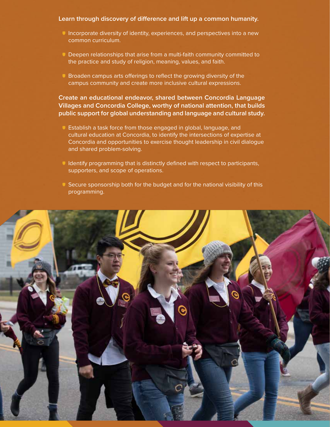### **Learn through discovery of difference and lift up a common humanity.**

- Incorporate diversity of identity, experiences, and perspectives into a new common curriculum.
- Deepen relationships that arise from a multi-faith community committed to the practice and study of religion, meaning, values, and faith.
- **Broaden campus arts offerings to reflect the growing diversity of the** campus community and create more inclusive cultural expressions.

**Create an educational endeavor, shared between Concordia Language Villages and Concordia College, worthy of national attention, that builds public support for global understanding and language and cultural study.** 

- Establish a task force from those engaged in global, language, and cultural education at Concordia, to identify the intersections of expertise at Concordia and opportunities to exercise thought leadership in civil dialogue and shared problem-solving.
- **IDENTIFY CONTROLLET IN A LOCAL THE UP IN A LOCAL THE UP IN A LOCAL THAT IS NOT THAT IS NOT THAT IS NOT THAT IS NOT THAT IS NOT THAT IS NOT THAT IS NOT THAT IS NOT THAT IS NOT THAT IS NOT THAT IS NOT THAT IS NOT THAT IS NO** supporters, and scope of operations.
- G Secure sponsorship both for the budget and for the national visibility of this programming.

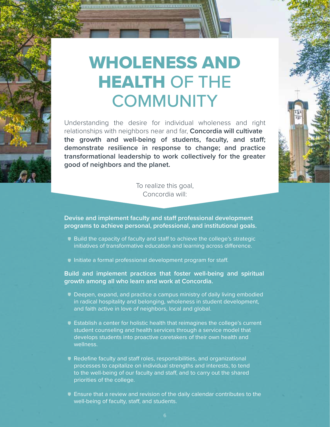# WHOLENESS AND HEALTH OF THE **COMMUNITY**

Understanding the desire for individual wholeness and right relationships with neighbors near and far, **Concordia will cultivate the growth and well-being of students, faculty, and staff; demonstrate resilience in response to change; and practice transformational leadership to work collectively for the greater good of neighbors and the planet.** 

> To realize this goal, Concordia will:

**Devise and implement faculty and staff professional development programs to achieve personal, professional, and institutional goals.**

- Build the capacity of faculty and staff to achieve the college's strategic initiatives of transformative education and learning across difference.
- Initiate a formal professional development program for staff.

## **Build and implement practices that foster well-being and spiritual growth among all who learn and work at Concordia.**

- Deepen, expand, and practice a campus ministry of daily living embodied in radical hospitality and belonging, wholeness in student development, and faith active in love of neighbors, local and global.
- Establish a center for holistic health that reimagines the college's current student counseling and health services through a service model that develops students into proactive caretakers of their own health and wellness.
- Redefine faculty and staff roles, responsibilities, and organizational processes to capitalize on individual strengths and interests, to tend to the well-being of our faculty and staff, and to carry out the shared priorities of the college.
- Ensure that a review and revision of the daily calendar contributes to the well-being of faculty, staff, and students.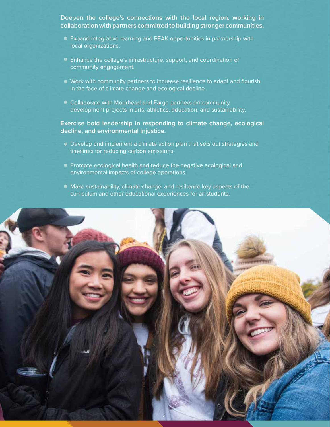**Deepen the college's connections with the local region, working in collaboration with partners committed to building stronger communities.**

- Expand integrative learning and PEAK opportunities in partnership with local organizations.
- Enhance the college's infrastructure, support, and coordination of community engagement.
- Work with community partners to increase resilience to adapt and flourish in the face of climate change and ecological decline.
- **Collaborate with Moorhead and Fargo partners on community** development projects in arts, athletics, education, and sustainability.

## **Exercise bold leadership in responding to climate change, ecological decline, and environmental injustice.**

- Develop and implement a climate action plan that sets out strategies and timelines for reducing carbon emissions.
- **Promote ecological health and reduce the negative ecological and** environmental impacts of college operations.
- Make sustainability, climate change, and resilience key aspects of the curriculum and other educational experiences for all students.

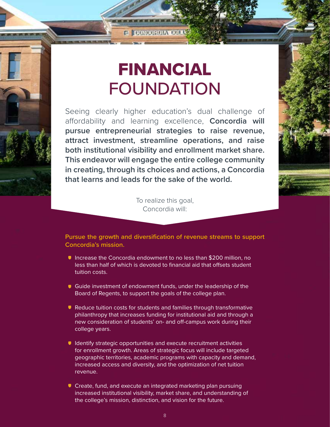To realize this goal, Concordia will:

**that learns and leads for the sake of the world.**

FINANCIAL

**C DONGORDIA BOL** 

FOUNDATION

Seeing clearly higher education's dual challenge of affordability and learning excellence, **Concordia will pursue entrepreneurial strategies to raise revenue, attract investment, streamline operations, and raise both institutional visibility and enrollment market share. This endeavor will engage the entire college community in creating, through its choices and actions, a Concordia** 

## **Pursue the growth and diversification of revenue streams to support Concordia's mission.**

- Increase the Concordia endowment to no less than \$200 million, no less than half of which is devoted to financial aid that offsets student tuition costs.
- Guide investment of endowment funds, under the leadership of the Board of Regents, to support the goals of the college plan.
- Reduce tuition costs for students and families through transformative philanthropy that increases funding for institutional aid and through a new consideration of students' on- and off-campus work during their college years.
- **I** Identify strategic opportunities and execute recruitment activities for enrollment growth. Areas of strategic focus will include targeted geographic territories, academic programs with capacity and demand, increased access and diversity, and the optimization of net tuition revenue.
- Create, fund, and execute an integrated marketing plan pursuing increased institutional visibility, market share, and understanding of the college's mission, distinction, and vision for the future.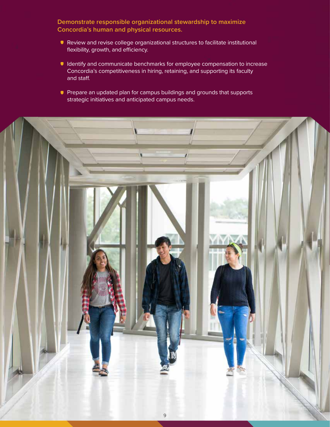**Demonstrate responsible organizational stewardship to maximize Concordia's human and physical resources.**

- Review and revise college organizational structures to facilitate institutional flexibility, growth, and efficiency.
- **I** Identify and communicate benchmarks for employee compensation to increase Concordia's competitiveness in hiring, retaining, and supporting its faculty and staff.
- **Prepare an updated plan for campus buildings and grounds that supports** strategic initiatives and anticipated campus needs.